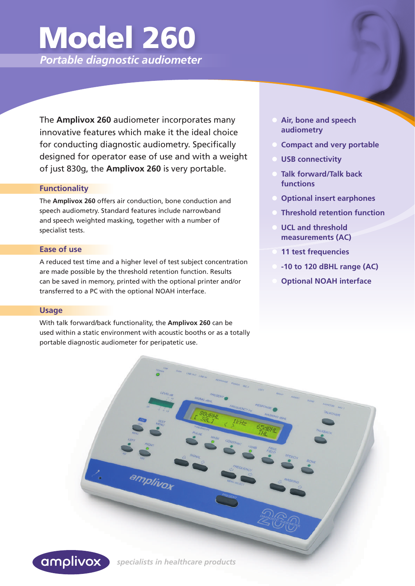# Model 260

 *Portable diagnostic audiometer*

The **Amplivox 260** audiometer incorporates many innovative features which make it the ideal choice for conducting diagnostic audiometry. Specifically designed for operator ease of use and with a weight of just 830g, the **Amplivox 260** is very portable.

#### **Functionality**

The **Amplivox 260** offers air conduction, bone conduction and speech audiometry. Standard features include narrowband and speech weighted masking, together with a number of specialist tests.

#### **Ease of use**

A reduced test time and a higher level of test subject concentration are made possible by the threshold retention function. Results can be saved in memory, printed with the optional printer and/or transferred to a PC with the optional NOAH interface.

#### **Usage**

With talk forward/back functionality, the **Amplivox 260** can be used within a static environment with acoustic booths or as a totally portable diagnostic audiometer for peripatetic use.

- **Air, bone and speech audiometry**
- **Compact and very portable**
- **USB connectivity**
- **Talk forward/Talk back functions**
- **Optional insert earphones**
- **Threshold retention function**
- **UCL and threshold measurements (AC)**
- **11 test frequencies**
- **-10 to 120 dBHL range (AC)**
- **Optional NOAH interface**